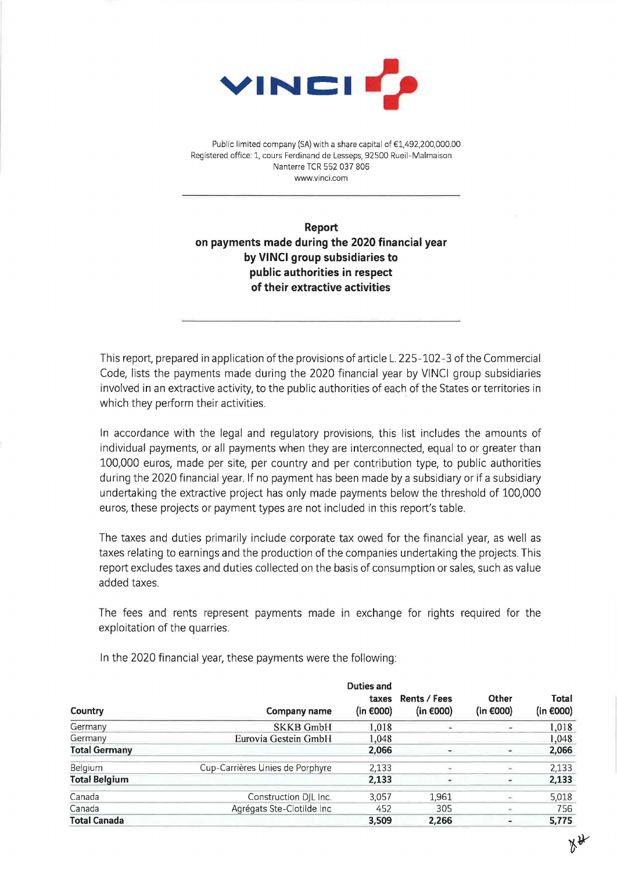

Public limited company (SA) with a share capital of €1,492,200,000.00 Registered office: 1, cours Ferdinand de Lesseps, 92500 Rueil-Malmaison Nanterre TCR 552 037 806 www.vinci.com

**Report on payments made during the 2020 financial year by VINCI group subsidiaries to public authorities in respect of their extractive activities** 

This report, prepared in application of the provisions of article L. 225-102-3 of the Commercial Code, lists the payments made during the 2020 financial year by VINCI group subsidiaries involved in an extractive activity, to the public authorities of each of the States or territories in which they perform their activities.

In accordance with the legal and regulatory provisions, this list includes the amounts of individual payments, or all payments when they are interconnected, equal to or greater than 100,000 euros, made per site, per country and per contribution type, to public authorities during the 2020 financial year. If no payment has been made by a subsidiary or if a subsidiary undertaking the extractive project has only made payments below the threshold of 100,000 euros, these projects or payment types are not included in this report's table.

The taxes and duties primarily include corporate tax owed for the financial year, as well as taxes relating to earnings and the production of the companies undertaking the projects. This report excludes taxes and duties collected on the basis of consumption or sales, such as value added taxes.

The fees and rents represent payments made in exchange for rights required for the exploitation of the quarries.

| Country              |                                 | <b>Duties and</b><br>taxes<br>(in $\epsilon$ 000) |                                     | Other<br>(in $\epsilon$ 000) | Total<br>(in €000) |
|----------------------|---------------------------------|---------------------------------------------------|-------------------------------------|------------------------------|--------------------|
|                      | Company name                    |                                                   | Rents / Fees<br>(in $\epsilon$ 000) |                              |                    |
| Germany              | <b>SKKB GmbH</b>                | 1.018                                             |                                     |                              | 1,018              |
| Germany              | Eurovia Gestein GmbH            | 1,048                                             |                                     |                              | 1,048              |
| <b>Total Germany</b> |                                 | 2,066                                             | $\blacksquare$                      | ۰                            | 2,066              |
| Belgium              | Cup-Carrières Unies de Porphyre | 2,133                                             |                                     | $\overline{\phantom{a}}$     | 2,133              |
| <b>Total Belgium</b> |                                 | 2,133                                             |                                     | $\overline{\phantom{a}}$     | 2,133              |
| Canada               | Construction DJL Inc.           | 3.057                                             | 1,961                               | ÷                            | 5,018              |
| Canada               | Agrégats Ste-Clotilde Inc       | 452                                               | 305                                 | ÷                            | 756                |
| <b>Total Canada</b>  |                                 | 3.509                                             | 2,266                               | ٠,                           | 5,775              |

In the 2020 financial year, these payments were the following:

*i~*